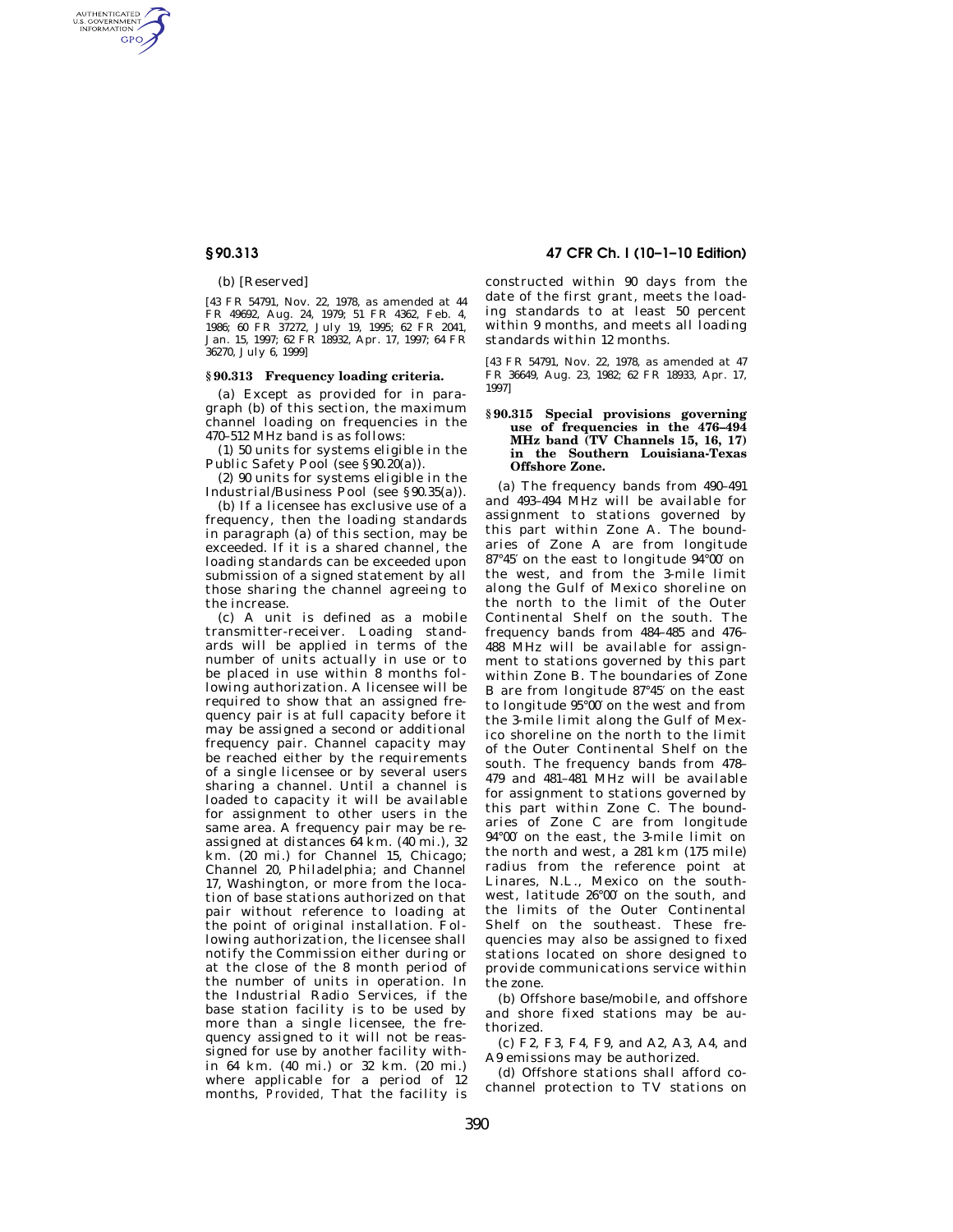AUTHENTICATED<br>U.S. GOVERNMENT<br>INFORMATION **GPO** 

(b) [Reserved]

[43 FR 54791, Nov. 22, 1978, as amended at 44 FR 49692, Aug. 24, 1979; 51 FR 4362, Feb. 4, 1986; 60 FR 37272, July 19, 1995; 62 FR 2041, Jan. 15, 1997; 62 FR 18932, Apr. 17, 1997; 64 FR 36270, July 6, 1999]

### **§ 90.313 Frequency loading criteria.**

(a) Except as provided for in paragraph (b) of this section, the maximum channel loading on frequencies in the 470–512 MHz band is as follows:

(1) 50 units for systems eligible in the Public Safety Pool (see §90.20(a)).

(2) 90 units for systems eligible in the Industrial/Business Pool (see §90.35(a)).

(b) If a licensee has exclusive use of a frequency, then the loading standards in paragraph (a) of this section, may be exceeded. If it is a shared channel, the loading standards can be exceeded upon submission of a signed statement by all those sharing the channel agreeing to the increase.

(c) A unit is defined as a mobile transmitter-receiver. Loading standards will be applied in terms of the number of units actually in use or to be placed in use within 8 months following authorization. A licensee will be required to show that an assigned frequency pair is at full capacity before it may be assigned a second or additional frequency pair. Channel capacity may be reached either by the requirements of a single licensee or by several users sharing a channel. Until a channel is loaded to capacity it will be available for assignment to other users in the same area. A frequency pair may be reassigned at distances 64 km. (40 mi.), 32 km. (20 mi.) for Channel 15, Chicago; Channel 20, Philadelphia; and Channel 17, Washington, or more from the location of base stations authorized on that pair without reference to loading at the point of original installation. Following authorization, the licensee shall notify the Commission either during or at the close of the 8 month period of the number of units in operation. In the Industrial Radio Services, if the base station facility is to be used by more than a single licensee, the frequency assigned to it will not be reassigned for use by another facility within 64 km. (40 mi.) or 32 km. (20 mi.) where applicable for a period of 12 months, *Provided,* That the facility is

**§ 90.313 47 CFR Ch. I (10–1–10 Edition)** 

constructed within 90 days from the date of the first grant, meets the loading standards to at least 50 percent within 9 months, and meets all loading standards within 12 months.

[43 FR 54791, Nov. 22, 1978, as amended at 47 FR 36649, Aug. 23, 1982; 62 FR 18933, Apr. 17, 1997]

### **§ 90.315 Special provisions governing use of frequencies in the 476–494 MHz band (TV Channels 15, 16, 17) in the Southern Louisiana-Texas Offshore Zone.**

(a) The frequency bands from 490–491 and 493–494 MHz will be available for assignment to stations governed by this part within Zone A. The boundaries of Zone A are from longitude 87°45′ on the east to longitude 94°00′ on the west, and from the 3-mile limit along the Gulf of Mexico shoreline on the north to the limit of the Outer Continental Shelf on the south. The frequency bands from 484–485 and 476– 488 MHz will be available for assignment to stations governed by this part within Zone B. The boundaries of Zone B are from longitude 87°45′ on the east to longitude 95°00′ on the west and from the 3-mile limit along the Gulf of Mexico shoreline on the north to the limit of the Outer Continental Shelf on the south. The frequency bands from 478– 479 and 481–481 MHz will be available for assignment to stations governed by this part within Zone C. The boundaries of Zone C are from longitude 94°00′ on the east, the 3-mile limit on the north and west, a 281 km (175 mile) radius from the reference point at Linares, N.L., Mexico on the southwest, latitude 26°00′ on the south, and the limits of the Outer Continental Shelf on the southeast. These frequencies may also be assigned to fixed stations located on shore designed to provide communications service within the zone.

(b) Offshore base/mobile, and offshore and shore fixed stations may be authorized.

(c) F2, F3, F4, F9, and A2, A3, A4, and A9 emissions may be authorized.

(d) Offshore stations shall afford cochannel protection to TV stations on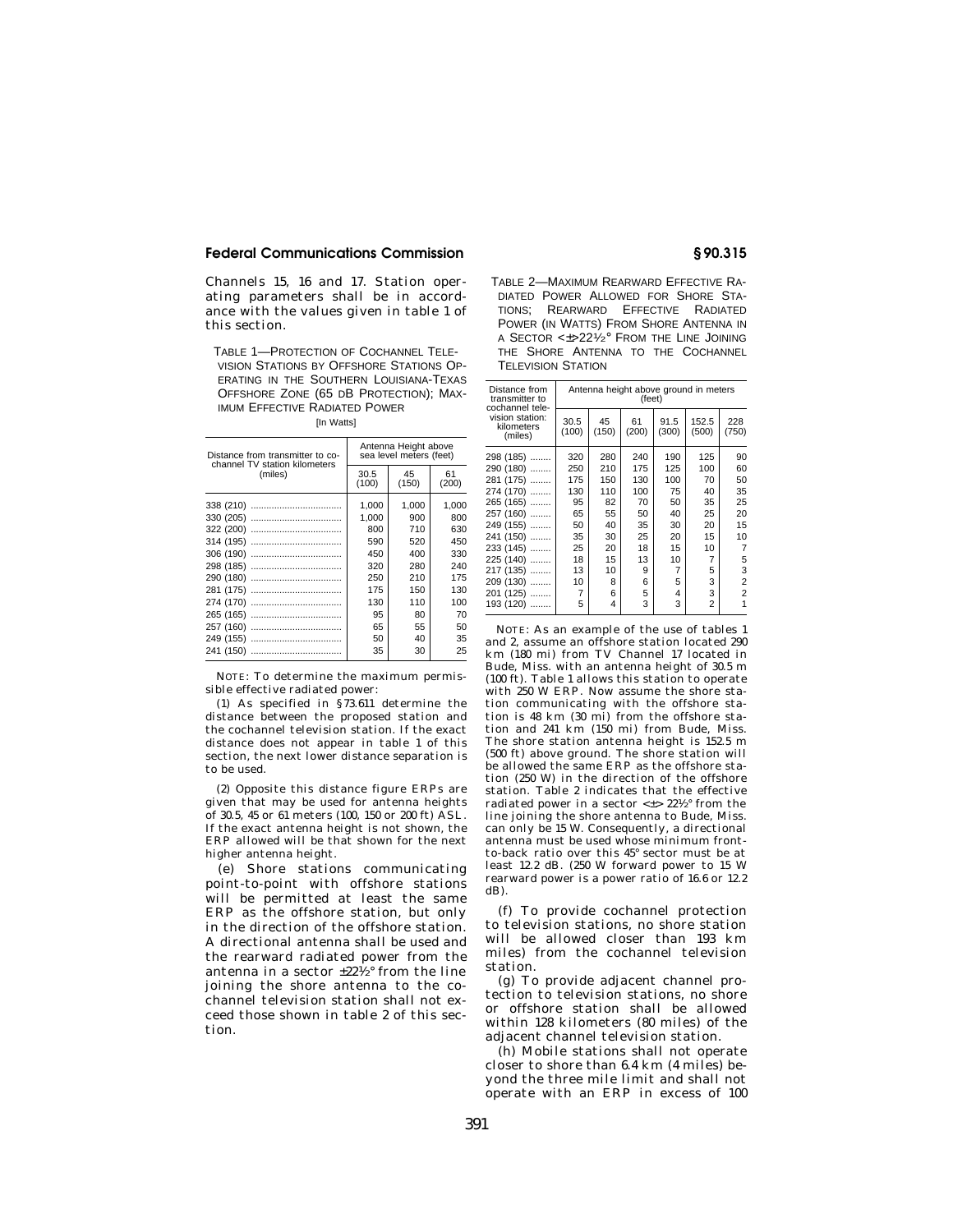## **Federal Communications Commission § 90.315**

Channels 15, 16 and 17. Station operating parameters shall be in accordance with the values given in table 1 of this section.

TABLE 1—PROTECTION OF COCHANNEL TELE-VISION STATIONS BY OFFSHORE STATIONS OP-ERATING IN THE SOUTHERN LOUISIANA-TEXAS OFFSHORE ZONE (65 DB PROTECTION); MAX-IMUM EFFECTIVE RADIATED POWER

|  | [In Watts] |
|--|------------|
|--|------------|

| Distance from transmitter to co-<br>channel TV station kilometers | Antenna Height above<br>sea level meters (feet) |             |             |  |
|-------------------------------------------------------------------|-------------------------------------------------|-------------|-------------|--|
| (miles)                                                           | 30.5<br>(100)                                   | 45<br>(150) | 61<br>(200) |  |
|                                                                   | 1,000                                           | 1.000       | 1,000       |  |
|                                                                   | 1,000                                           | 900         | 800         |  |
|                                                                   | 800                                             | 710         | 630         |  |
|                                                                   | 590                                             | 520         | 450         |  |
|                                                                   | 450                                             | 400         | 330         |  |
|                                                                   | 320                                             | 280         | 240         |  |
|                                                                   | 250                                             | 210         | 175         |  |
|                                                                   | 175                                             | 150         | 130         |  |
|                                                                   | 130                                             | 110         | 100         |  |
|                                                                   | 95                                              | 80          | 70          |  |
|                                                                   | 65                                              | 55          | 50          |  |
|                                                                   | 50                                              | 40          | 35          |  |
|                                                                   | 35                                              | 30          | 25          |  |

NOTE: To determine the maximum permissible effective radiated power:

(1) As specified in §73.611 determine the distance between the proposed station and the cochannel television station. If the exact distance does not appear in table 1 of this section, the next lower distance separation is to be used.

(2) Opposite this distance figure ERPs are given that may be used for antenna heights of 30.5, 45 or 61 meters (100, 150 or 200 ft) ASL. If the exact antenna height is not shown, the ERP allowed will be that shown for the next higher antenna height.

(e) Shore stations communicating point-to-point with offshore stations will be permitted at least the same ERP as the offshore station, but only in the direction of the offshore station. A directional antenna shall be used and the rearward radiated power from the antenna in a sector  $\pm 22^{1/2}$  from the line joining the shore antenna to the cochannel television station shall not exceed those shown in table 2 of this section.

TABLE 2—MAXIMUM REARWARD EFFECTIVE RA-DIATED POWER ALLOWED FOR SHORE STA-TIONS; REARWARD EFFECTIVE RADIATED POWER (IN WATTS) FROM SHORE ANTENNA IN A SECTOR <±>221⁄2° FROM THE LINE JOINING THE SHORE ANTENNA TO THE COCHANNEL TELEVISION STATION

| Distance from<br>transmitter to<br>cochannel tele- | Antenna height above ground in meters<br>(feet) |             |             |               |                |                |
|----------------------------------------------------|-------------------------------------------------|-------------|-------------|---------------|----------------|----------------|
| vision station:<br>kilometers<br>(miles)           | 30.5<br>(100)                                   | 45<br>(150) | 61<br>(200) | 91.5<br>(300) | 152.5<br>(500) | 228<br>(750)   |
| 298 (185)<br>.                                     | 320                                             | 280         | 240         | 190           | 125            | 90             |
| 290 (180)                                          | 250                                             | 210         | 175         | 125           | 100            | 60             |
| 281 (175)                                          | 175                                             | 150         | 130         | 100           | 70             | 50             |
| 274 (170)                                          | 130                                             | 110         | 100         | 75            | 40             | 35             |
| 265 (165)                                          | 95                                              | 82          | 70          | 50            | 35             | 25             |
| 257 (160)                                          | 65                                              | 55          | 50          | 40            | 25             | 20             |
| 249 (155)                                          | 50                                              | 40          | 35          | 30            | 20             | 15             |
| 241 (150)                                          | 35                                              | 30          | 25          | 20            | 15             | 10             |
| 233 (145)                                          | 25                                              | 20          | 18          | 15            | 10             | $\overline{7}$ |
| 225 (140)                                          | 18                                              | 15          | 13          | 10            | 7              | 5              |
| 217 (135)                                          | 13                                              | 10          | 9           | 7             | 5              | 3              |
| 209 (130)<br>.                                     | 10                                              | 8           | 6           | 5             | 3              | 2              |
| 201 (125)<br>.                                     | $\overline{7}$                                  | 6           | 5           | 4             | 3              | 2              |
| 193 (120)                                          | 5                                               | 4           | 3           | 3             | 2              | 1              |

NOTE: As an example of the use of tables 1 and 2, assume an offshore station located 290 km (180 mi) from TV Channel 17 located in Bude, Miss. with an antenna height of 30.5 m (100 ft). Table 1 allows this station to operate with 250 W ERP. Now assume the shore station communicating with the offshore station is 48 km (30 mi) from the offshore station and 241 km (150 mi) from Bude, Miss. The shore station antenna height is 152.5 m (500 ft) above ground. The shore station will be allowed the same ERP as the offshore station (250 W) in the direction of the offshore station. Table 2 indicates that the effective radiated power in a sector  $<\pm>$  22½ $^{\circ}$  from the line joining the shore antenna to Bude, Miss. can only be 15 W. Consequently, a directional antenna must be used whose minimum frontto-back ratio over this 45° sector must be at least 12.2 dB. (250 W forward power to 15 W rearward power is a power ratio of 16.6 or 12.2 dB).

(f) To provide cochannel protection to television stations, no shore station will be allowed closer than 193 km miles) from the cochannel television station.

(g) To provide adjacent channel protection to television stations, no shore or offshore station shall be allowed within 128 kilometers (80 miles) of the adjacent channel television station.

(h) Mobile stations shall not operate closer to shore than 6.4 km (4 miles) beyond the three mile limit and shall not operate with an ERP in excess of 100